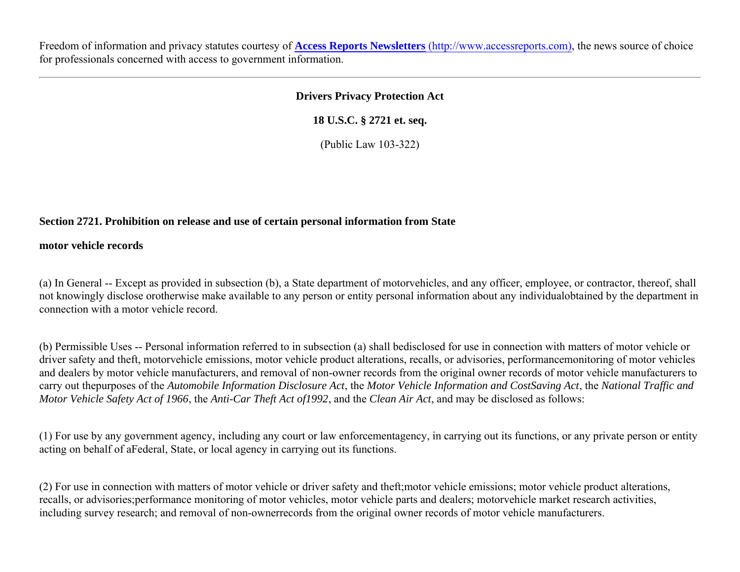Freedom of information and privacy statutes courtesy of **Access Reports Newsletters** (http://www.accessreports.com), the news source of choice for professionals concerned with access to government information.

### **Drivers Privacy Protection Act**

**18 U.S.C. § 2721 et. seq.**

(Public Law 103-322)

# **Section 2721. Prohibition on release and use of certain personal information from State**

**motor vehicle records**

(a) In General -- Except as provided in subsection (b), a State department of motorvehicles, and any officer, employee, or contractor, thereof, shall not knowingly disclose orotherwise make available to any person or entity personal information about any individualobtained by the department in connection with a motor vehicle record.

(b) Permissible Uses -- Personal information referred to in subsection (a) shall bedisclosed for use in connection with matters of motor vehicle or driver safety and theft, motorvehicle emissions, motor vehicle product alterations, recalls, or advisories, performancemonitoring of motor vehicles and dealers by motor vehicle manufacturers, and removal of non-owner records from the original owner records of motor vehicle manufacturers to carry out thepurposes of the *Automobile Information Disclosure Act*, the *Motor Vehicle Information and CostSaving Act*, the *National Traffic and Motor Vehicle Safety Act of 1966*, the *Anti-Car Theft Act of1992*, and the *Clean Air Act*, and may be disclosed as follows:

(1) For use by any government agency, including any court or law enforcementagency, in carrying out its functions, or any private person or entity acting on behalf of aFederal, State, or local agency in carrying out its functions.

(2) For use in connection with matters of motor vehicle or driver safety and theft;motor vehicle emissions; motor vehicle product alterations, recalls, or advisories;performance monitoring of motor vehicles, motor vehicle parts and dealers; motorvehicle market research activities, including survey research; and removal of non-ownerrecords from the original owner records of motor vehicle manufacturers.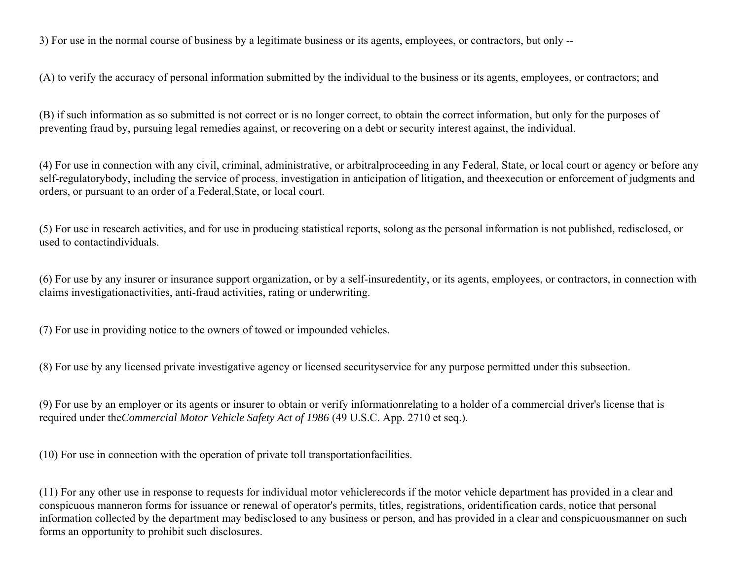3) For use in the normal course of business by a legitimate business or its agents, employees, or contractors, but only --

(A) to verify the accuracy of personal information submitted by the individual to the business or its agents, employees, or contractors; and

(B) if such information as so submitted is not correct or is no longer correct, to obtain the correct information, but only for the purposes of preventing fraud by, pursuing legal remedies against, or recovering on a debt or security interest against, the individual.

(4) For use in connection with any civil, criminal, administrative, or arbitralproceeding in any Federal, State, or local court or agency or before any self-regulatorybody, including the service of process, investigation in anticipation of litigation, and theexecution or enforcement of judgments and orders, or pursuant to an order of a Federal,State, or local court.

(5) For use in research activities, and for use in producing statistical reports, solong as the personal information is not published, redisclosed, or used to contactindividuals.

(6) For use by any insurer or insurance support organization, or by a self-insuredentity, or its agents, employees, or contractors, in connection with claims investigationactivities, anti-fraud activities, rating or underwriting.

(7) For use in providing notice to the owners of towed or impounded vehicles.

(8) For use by any licensed private investigative agency or licensed securityservice for any purpose permitted under this subsection.

(9) For use by an employer or its agents or insurer to obtain or verify informationrelating to a holder of a commercial driver's license that is required under the*Commercial Motor Vehicle Safety Act of 1986* (49 U.S.C. App. 2710 et seq.).

(10) For use in connection with the operation of private toll transportationfacilities.

(11) For any other use in response to requests for individual motor vehiclerecords if the motor vehicle department has provided in a clear and conspicuous manneron forms for issuance or renewal of operator's permits, titles, registrations, oridentification cards, notice that personal information collected by the department may bedisclosed to any business or person, and has provided in a clear and conspicuousmanner on such forms an opportunity to prohibit such disclosures.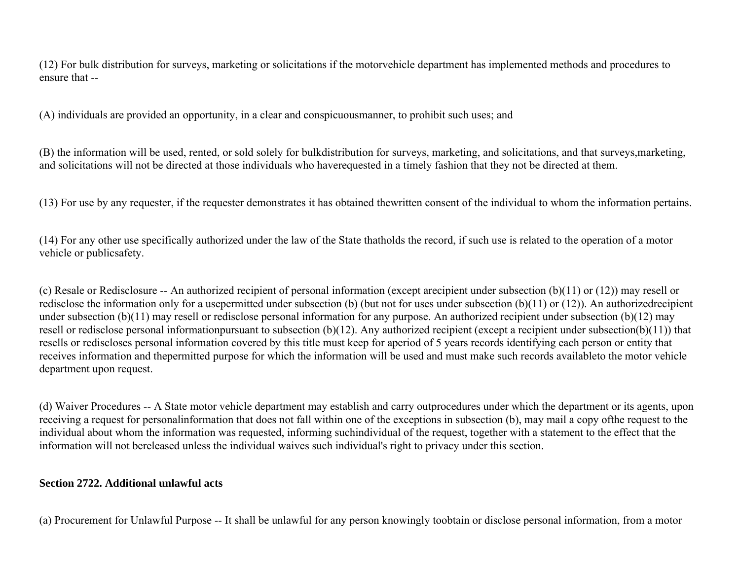(12) For bulk distribution for surveys, marketing or solicitations if the motorvehicle department has implemented methods and procedures to ensure that --

(A) individuals are provided an opportunity, in a clear and conspicuousmanner, to prohibit such uses; and

(B) the information will be used, rented, or sold solely for bulkdistribution for surveys, marketing, and solicitations, and that surveys,marketing, and solicitations will not be directed at those individuals who haverequested in a timely fashion that they not be directed at them.

(13) For use by any requester, if the requester demonstrates it has obtained thewritten consent of the individual to whom the information pertains.

(14) For any other use specifically authorized under the law of the State thatholds the record, if such use is related to the operation of a motor vehicle or publicsafety.

(c) Resale or Redisclosure -- An authorized recipient of personal information (except arecipient under subsection (b)(11) or (12)) may resell or redisclose the information only for a usepermitted under subsection (b) (but not for uses under subsection (b)(11) or (12)). An authorizedrecipient under subsection (b)(11) may resell or redisclose personal information for any purpose. An authorized recipient under subsection (b)(12) may resell or redisclose personal informationpursuant to subsection (b)(12). Any authorized recipient (except a recipient under subsection(b)(11)) that resells or rediscloses personal information covered by this title must keep for aperiod of 5 years records identifying each person or entity that receives information and thepermitted purpose for which the information will be used and must make such records availableto the motor vehicle department upon request.

(d) Waiver Procedures -- A State motor vehicle department may establish and carry outprocedures under which the department or its agents, upon receiving a request for personalinformation that does not fall within one of the exceptions in subsection (b), may mail a copy ofthe request to the individual about whom the information was requested, informing suchindividual of the request, together with a statement to the effect that the information will not bereleased unless the individual waives such individual's right to privacy under this section.

## **Section 2722. Additional unlawful acts**

(a) Procurement for Unlawful Purpose -- It shall be unlawful for any person knowingly toobtain or disclose personal information, from a motor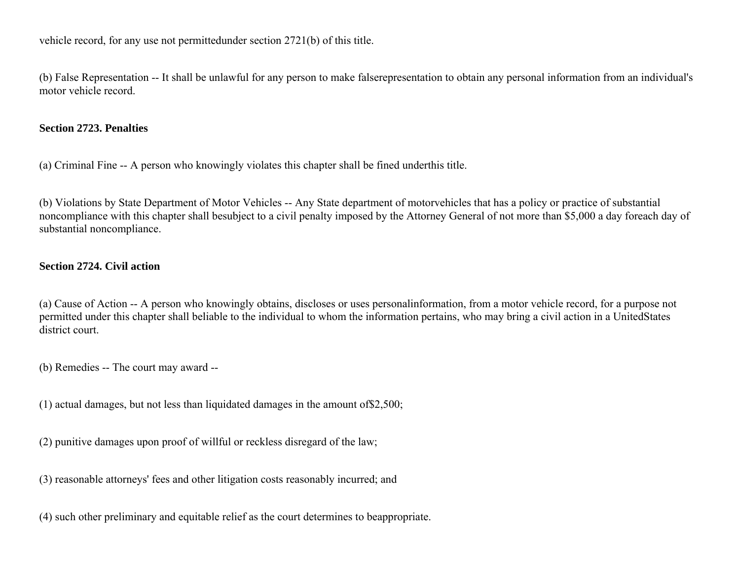vehicle record, for any use not permittedunder section 2721(b) of this title.

(b) False Representation -- It shall be unlawful for any person to make falserepresentation to obtain any personal information from an individual's motor vehicle record.

### **Section 2723. Penalties**

(a) Criminal Fine -- A person who knowingly violates this chapter shall be fined underthis title.

(b) Violations by State Department of Motor Vehicles -- Any State department of motorvehicles that has a policy or practice of substantial noncompliance with this chapter shall besubject to a civil penalty imposed by the Attorney General of not more than \$5,000 a day foreach day of substantial noncompliance.

### **Section 2724. Civil action**

(a) Cause of Action -- A person who knowingly obtains, discloses or uses personalinformation, from a motor vehicle record, for a purpose not permitted under this chapter shall beliable to the individual to whom the information pertains, who may bring a civil action in a UnitedStates district court.

(b) Remedies -- The court may award --

(1) actual damages, but not less than liquidated damages in the amount of\$2,500;

(2) punitive damages upon proof of willful or reckless disregard of the law;

(3) reasonable attorneys' fees and other litigation costs reasonably incurred; and

(4) such other preliminary and equitable relief as the court determines to beappropriate.